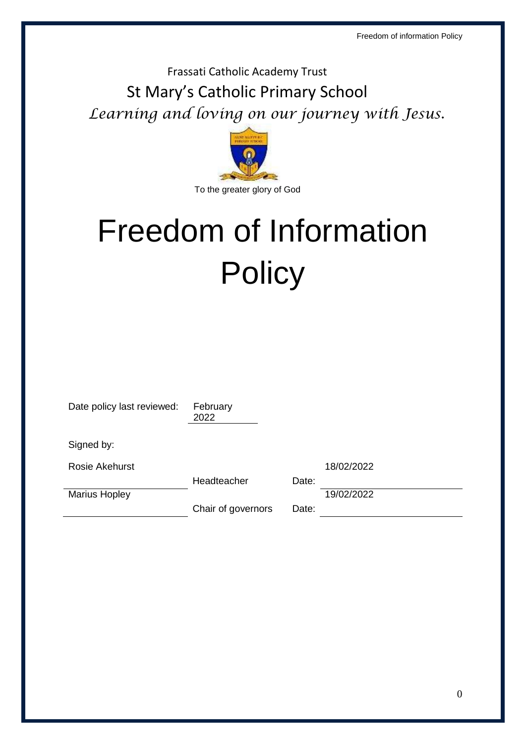Frassati Catholic Academy Trust St Mary's Catholic Primary School *Learning and loving on our journey with Jesus.* 



# Freedom of Information **Policy**

| Date policy last reviewed: | February<br>2022   |       |            |
|----------------------------|--------------------|-------|------------|
| Signed by:                 |                    |       |            |
| <b>Rosie Akehurst</b>      |                    |       | 18/02/2022 |
|                            | Headteacher        | Date: |            |
| <b>Marius Hopley</b>       |                    |       | 19/02/2022 |
|                            | Chair of governors | Date: |            |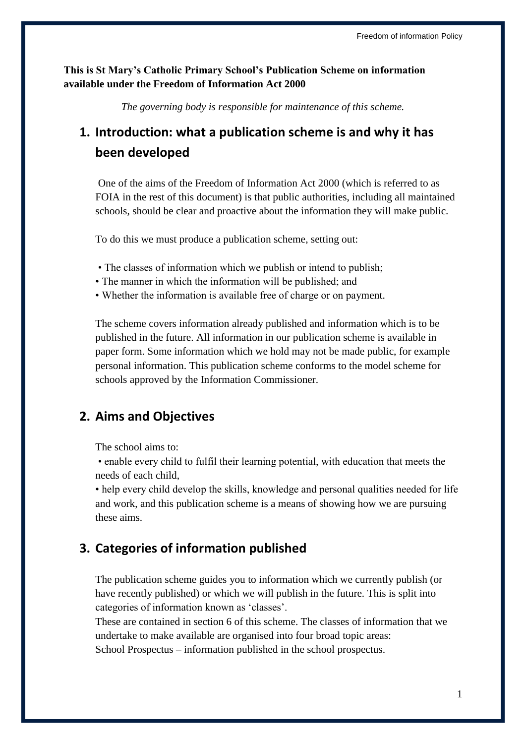**This is St Mary's Catholic Primary School's Publication Scheme on information available under the Freedom of Information Act 2000**

*The governing body is responsible for maintenance of this scheme.*

# **1. Introduction: what a publication scheme is and why it has been developed**

One of the aims of the Freedom of Information Act 2000 (which is referred to as FOIA in the rest of this document) is that public authorities, including all maintained schools, should be clear and proactive about the information they will make public.

To do this we must produce a publication scheme, setting out:

- The classes of information which we publish or intend to publish;
- The manner in which the information will be published; and
- Whether the information is available free of charge or on payment.

The scheme covers information already published and information which is to be published in the future. All information in our publication scheme is available in paper form. Some information which we hold may not be made public, for example personal information. This publication scheme conforms to the model scheme for schools approved by the Information Commissioner.

#### **2. Aims and Objectives**

The school aims to:

• enable every child to fulfil their learning potential, with education that meets the needs of each child,

• help every child develop the skills, knowledge and personal qualities needed for life and work, and this publication scheme is a means of showing how we are pursuing these aims.

#### **3. Categories of information published**

The publication scheme guides you to information which we currently publish (or have recently published) or which we will publish in the future. This is split into categories of information known as 'classes'.

These are contained in section 6 of this scheme. The classes of information that we undertake to make available are organised into four broad topic areas: School Prospectus – information published in the school prospectus.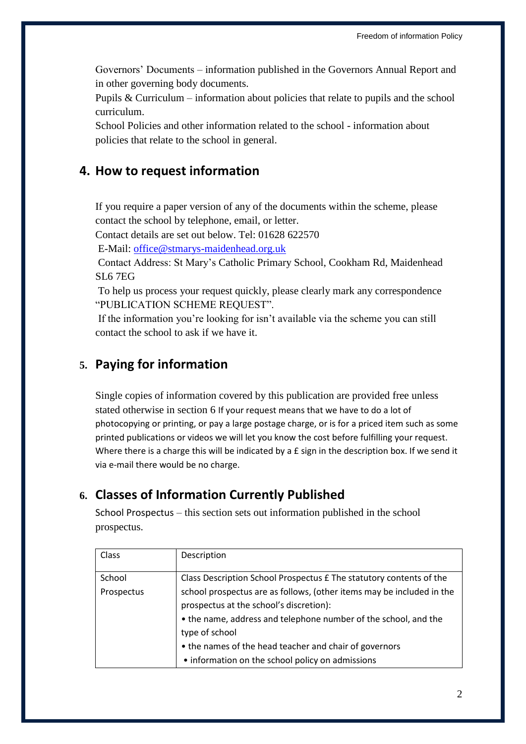Governors' Documents – information published in the Governors Annual Report and in other governing body documents.

Pupils & Curriculum – information about policies that relate to pupils and the school curriculum.

School Policies and other information related to the school - information about policies that relate to the school in general.

#### **4. How to request information**

If you require a paper version of any of the documents within the scheme, please contact the school by telephone, email, or letter.

Contact details are set out below. Tel: 01628 622570

E-Mail: [office@stmarys-maidenhead.org.uk](mailto:office@stmarys-maidenhead.org.uk)

Contact Address: St Mary's Catholic Primary School, Cookham Rd, Maidenhead SL6 7EG

To help us process your request quickly, please clearly mark any correspondence "PUBLICATION SCHEME REQUEST".

If the information you're looking for isn't available via the scheme you can still contact the school to ask if we have it.

# **5. Paying for information**

Single copies of information covered by this publication are provided free unless stated otherwise in section 6 If your request means that we have to do a lot of photocopying or printing, or pay a large postage charge, or is for a priced item such as some printed publications or videos we will let you know the cost before fulfilling your request. Where there is a charge this will be indicated by a £ sign in the description box. If we send it via e-mail there would be no charge.

# **6. Classes of Information Currently Published**

School Prospectus – this section sets out information published in the school prospectus.

| Class      | Description                                                           |
|------------|-----------------------------------------------------------------------|
| School     | Class Description School Prospectus £ The statutory contents of the   |
| Prospectus | school prospectus are as follows, (other items may be included in the |
|            | prospectus at the school's discretion):                               |
|            | • the name, address and telephone number of the school, and the       |
|            | type of school                                                        |
|            | • the names of the head teacher and chair of governors                |
|            | • information on the school policy on admissions                      |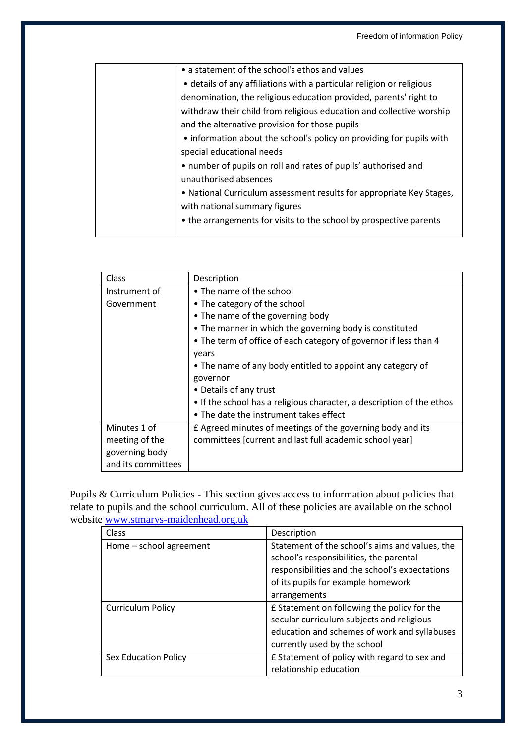| • a statement of the school's ethos and values                        |
|-----------------------------------------------------------------------|
| • details of any affiliations with a particular religion or religious |
| denomination, the religious education provided, parents' right to     |
| withdraw their child from religious education and collective worship  |
| and the alternative provision for those pupils                        |
| • information about the school's policy on providing for pupils with  |
| special educational needs                                             |
| • number of pupils on roll and rates of pupils' authorised and        |
| unauthorised absences                                                 |
| • National Curriculum assessment results for appropriate Key Stages,  |
| with national summary figures                                         |
| • the arrangements for visits to the school by prospective parents    |
|                                                                       |

| Class              | Description                                                           |
|--------------------|-----------------------------------------------------------------------|
| Instrument of      | • The name of the school                                              |
| Government         | • The category of the school                                          |
|                    | • The name of the governing body                                      |
|                    | • The manner in which the governing body is constituted               |
|                    | . The term of office of each category of governor if less than 4      |
|                    | vears                                                                 |
|                    | • The name of any body entitled to appoint any category of            |
|                    | governor                                                              |
|                    | • Details of any trust                                                |
|                    | • If the school has a religious character, a description of the ethos |
|                    | • The date the instrument takes effect                                |
| Minutes 1 of       | £ Agreed minutes of meetings of the governing body and its            |
| meeting of the     | committees [current and last full academic school year]               |
| governing body     |                                                                       |
| and its committees |                                                                       |

Pupils & Curriculum Policies - This section gives access to information about policies that relate to pupils and the school curriculum. All of these policies are available on the school website [www.stmarys-maidenhead.org.uk](http://www.stmarys-maidenhead.org.uk/)

| Class                    | Description                                                                                                                                                                                       |
|--------------------------|---------------------------------------------------------------------------------------------------------------------------------------------------------------------------------------------------|
| Home - school agreement  | Statement of the school's aims and values, the<br>school's responsibilities, the parental<br>responsibilities and the school's expectations<br>of its pupils for example homework<br>arrangements |
| <b>Curriculum Policy</b> | £ Statement on following the policy for the<br>secular curriculum subjects and religious<br>education and schemes of work and syllabuses<br>currently used by the school                          |
| Sex Education Policy     | £ Statement of policy with regard to sex and<br>relationship education                                                                                                                            |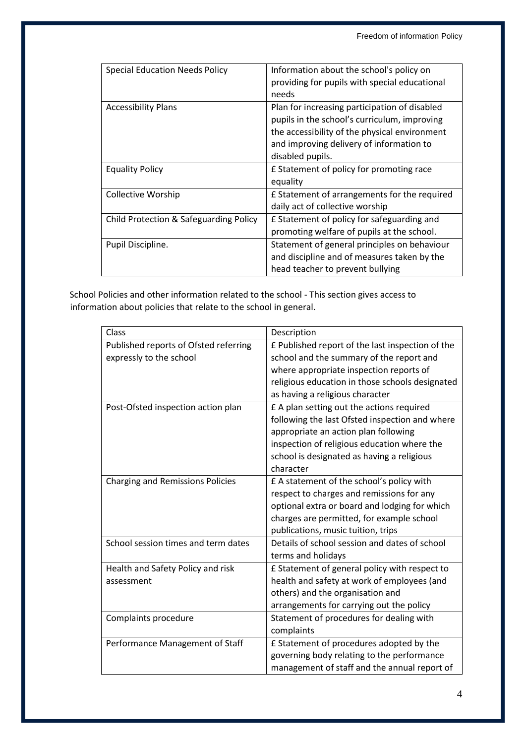| <b>Special Education Needs Policy</b>  | Information about the school's policy on<br>providing for pupils with special educational<br>needs                                                                                                             |
|----------------------------------------|----------------------------------------------------------------------------------------------------------------------------------------------------------------------------------------------------------------|
| <b>Accessibility Plans</b>             | Plan for increasing participation of disabled<br>pupils in the school's curriculum, improving<br>the accessibility of the physical environment<br>and improving delivery of information to<br>disabled pupils. |
| <b>Equality Policy</b>                 | £ Statement of policy for promoting race<br>equality                                                                                                                                                           |
| Collective Worship                     | £ Statement of arrangements for the required<br>daily act of collective worship                                                                                                                                |
| Child Protection & Safeguarding Policy | £ Statement of policy for safeguarding and<br>promoting welfare of pupils at the school.                                                                                                                       |
| Pupil Discipline.                      | Statement of general principles on behaviour<br>and discipline and of measures taken by the<br>head teacher to prevent bullying                                                                                |

School Policies and other information related to the school - This section gives access to information about policies that relate to the school in general.

| Class                                   | Description                                      |
|-----------------------------------------|--------------------------------------------------|
| Published reports of Ofsted referring   | £ Published report of the last inspection of the |
| expressly to the school                 | school and the summary of the report and         |
|                                         | where appropriate inspection reports of          |
|                                         | religious education in those schools designated  |
|                                         | as having a religious character                  |
| Post-Ofsted inspection action plan      | £ A plan setting out the actions required        |
|                                         | following the last Ofsted inspection and where   |
|                                         | appropriate an action plan following             |
|                                         | inspection of religious education where the      |
|                                         | school is designated as having a religious       |
|                                         | character                                        |
| <b>Charging and Remissions Policies</b> | £ A statement of the school's policy with        |
|                                         | respect to charges and remissions for any        |
|                                         | optional extra or board and lodging for which    |
|                                         | charges are permitted, for example school        |
|                                         | publications, music tuition, trips               |
| School session times and term dates     | Details of school session and dates of school    |
|                                         | terms and holidays                               |
| Health and Safety Policy and risk       | £ Statement of general policy with respect to    |
| assessment                              | health and safety at work of employees (and      |
|                                         | others) and the organisation and                 |
|                                         | arrangements for carrying out the policy         |
| Complaints procedure                    | Statement of procedures for dealing with         |
|                                         | complaints                                       |
| Performance Management of Staff         | £ Statement of procedures adopted by the         |
|                                         | governing body relating to the performance       |
|                                         | management of staff and the annual report of     |